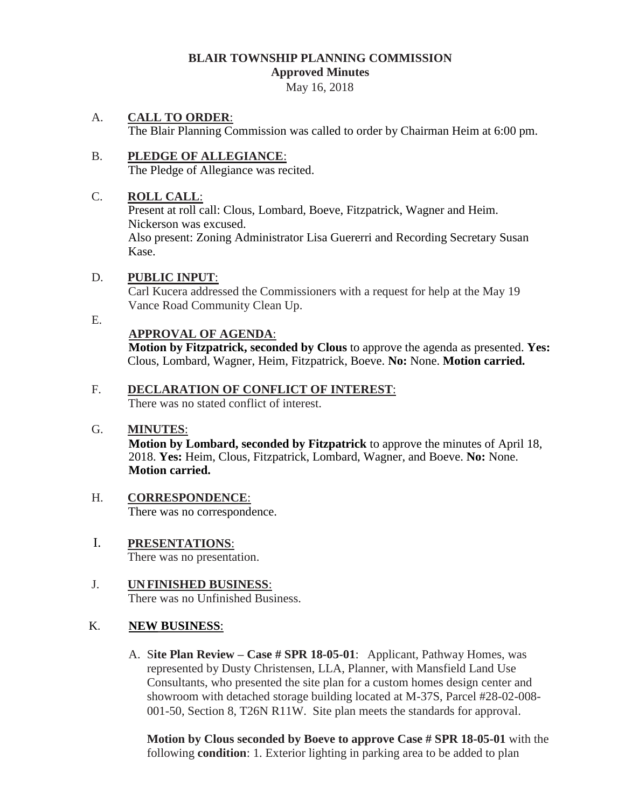### **BLAIR TOWNSHIP PLANNING COMMISSION Approved Minutes**

May 16, 2018

## A. **CALL TO ORDER**:

The Blair Planning Commission was called to order by Chairman Heim at 6:00 pm.

#### B. **PLEDGE OF ALLEGIANCE**: The Pledge of Allegiance was recited.

## C. **ROLL CALL**:

Present at roll call: Clous, Lombard, Boeve, Fitzpatrick, Wagner and Heim. Nickerson was excused. Also present: Zoning Administrator Lisa Guererri and Recording Secretary Susan Kase.

## D. **PUBLIC INPUT**:

Carl Kucera addressed the Commissioners with a request for help at the May 19 Vance Road Community Clean Up.

#### E.

## **APPROVAL OF AGENDA**:

 **Motion by Fitzpatrick, seconded by Clous** to approve the agenda as presented. **Yes:** Clous, Lombard, Wagner, Heim, Fitzpatrick, Boeve. **No:** None. **Motion carried.**

# F. **DECLARATION OF CONFLICT OF INTEREST**:

There was no stated conflict of interest.

## G. **MINUTES**:

**Motion by Lombard, seconded by Fitzpatrick** to approve the minutes of April 18, 2018. **Yes:** Heim, Clous, Fitzpatrick, Lombard, Wagner, and Boeve. **No:** None. **Motion carried.**

### H. **CORRESPONDENCE**: There was no correspondence.

 I. **PRESENTATIONS**: There was no presentation.

# J. **UNFINISHED BUSINESS**: There was no Unfinished Business.

# K. **NEW BUSINESS**:

A. S**ite Plan Review – Case # SPR 18-05-01**: Applicant, Pathway Homes, was represented by Dusty Christensen, LLA, Planner, with Mansfield Land Use Consultants, who presented the site plan for a custom homes design center and showroom with detached storage building located at M-37S, Parcel #28-02-008- 001-50, Section 8, T26N R11W. Site plan meets the standards for approval.

**Motion by Clous seconded by Boeve to approve Case # SPR 18-05-01** with the following **condition**: 1. Exterior lighting in parking area to be added to plan